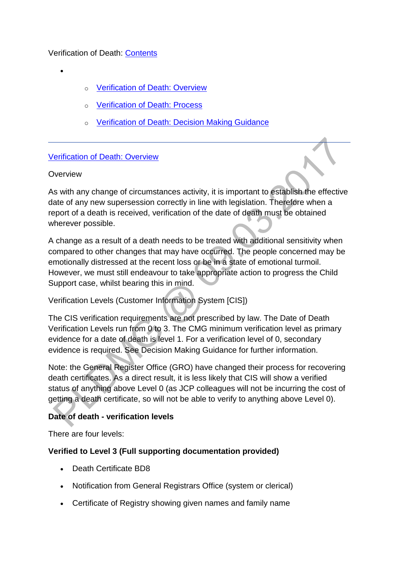## Verification of Death: [Contents](http://np-cmg-sharepoint.link2.gpn.gov.uk/sites/policy-law-and-decision-making-guidance/Pages)

- $\bullet$
- **[Verification of Death: Overview](http://np-cmg-sharepoint.link2.gpn.gov.uk/sites/policy-law-and-decision-making-guidance/Pages/Verification-of-Death.aspx#Overview)**
- o [Verification of Death: Process](http://np-cmg-sharepoint.link2.gpn.gov.uk/sites/policy-law-and-decision-making-guidance/Pages/Verification-of-Death.aspx#Process)
- o [Verification of Death: Decision Making Guidance](http://np-cmg-sharepoint.link2.gpn.gov.uk/sites/policy-law-and-decision-making-guidance/Pages/Verification-of-Death.aspx#DMG)

#### [Verification of Death: Overview](http://np-cmg-sharepoint.link2.gpn.gov.uk/sites/policy-law-and-decision-making-guidance/Pages)

#### **Overview**

As with any change of circumstances activity, it is important to establish the effective date of any new supersession correctly in line with legislation. Therefore when a report of a death is received, verification of the date of death must be obtained wherever possible.

A change as a result of a death needs to be treated with additional sensitivity when compared to other changes that may have occurred. The people concerned may be emotionally distressed at the recent loss or be in a state of emotional turmoil. However, we must still endeavour to take appropriate action to progress the Child Support case, whilst bearing this in mind.

## Verification Levels (Customer Information System [CIS])

The CIS verification requirements are not prescribed by law. The Date of Death Verification Levels run from 0 to 3. The CMG minimum verification level as primary evidence for a date of death is level 1. For a verification level of 0, secondary evidence is required. See Decision Making Guidance for further information.

Note: the General Register Office (GRO) have changed their process for recovering death certificates. As a direct result, it is less likely that CIS will show a verified status of anything above Level 0 (as JCP colleagues will not be incurring the cost of getting a death certificate, so will not be able to verify to anything above Level 0).

## **Date of death - verification levels**

There are four levels:

#### **Verified to Level 3 (Full supporting documentation provided)**

- Death Certificate BD8
- Notification from General Registrars Office (system or clerical)
- Certificate of Registry showing given names and family name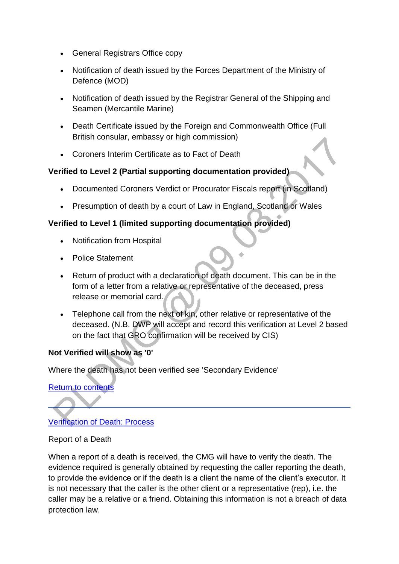- General Registrars Office copy
- Notification of death issued by the Forces Department of the Ministry of Defence (MOD)
- Notification of death issued by the Registrar General of the Shipping and Seamen (Mercantile Marine)
- Death Certificate issued by the Foreign and Commonwealth Office (Full British consular, embassy or high commission)
- Coroners Interim Certificate as to Fact of Death

## **Verified to Level 2 (Partial supporting documentation provided)**

- Documented Coroners Verdict or Procurator Fiscals report (in Scotland)
- Presumption of death by a court of Law in England, Scotland or Wales

# **Verified to Level 1 (limited supporting documentation provided)**

- Notification from Hospital
- Police Statement
- Return of product with a declaration of death document. This can be in the form of a letter from a relative or representative of the deceased, press release or memorial card.
- Telephone call from the next of kin, other relative or representative of the deceased. (N.B. DWP will accept and record this verification at Level 2 based on the fact that GRO confirmation will be received by CIS)

# **Not Verified will show as '0'**

Where the death has not been verified see 'Secondary Evidence'

# [Return to contents](http://np-cmg-sharepoint.link2.gpn.gov.uk/sites/policy-law-and-decision-making-guidance/Pages/Verification-of-Death.aspx#Contents)

[Verification of Death: Process](http://np-cmg-sharepoint.link2.gpn.gov.uk/sites/policy-law-and-decision-making-guidance/Pages)

## Report of a Death

When a report of a death is received, the CMG will have to verify the death. The evidence required is generally obtained by requesting the caller reporting the death, to provide the evidence or if the death is a client the name of the client's executor. It is not necessary that the caller is the other client or a representative (rep), i.e. the caller may be a relative or a friend. Obtaining this information is not a breach of data protection law.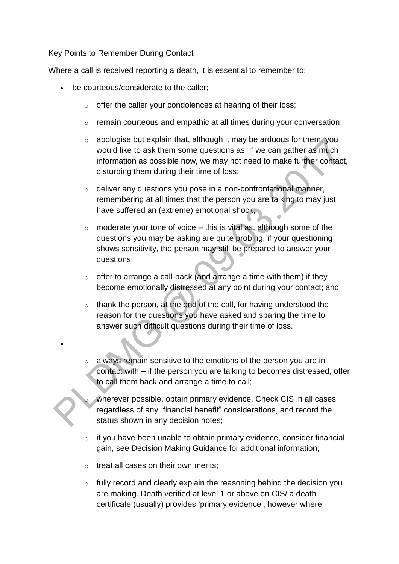#### Key Points to Remember During Contact

Where a call is received reporting a death, it is essential to remember to:

- be courteous/considerate to the caller;
	- $\circ$  offer the caller your condolences at hearing of their loss;
	- o remain courteous and empathic at all times during your conversation;
	- o apologise but explain that, although it may be arduous for them, you would like to ask them some questions as, if we can gather as much information as possible now, we may not need to make further contact, disturbing them during their time of loss;
	- o deliver any questions you pose in a non-confrontational manner, remembering at all times that the person you are talking to may just have suffered an (extreme) emotional shock;
	- $\circ$  moderate your tone of voice this is vital as, although some of the questions you may be asking are quite probing, if your questioning shows sensitivity, the person may still be prepared to answer your questions;
	- $\circ$  offer to arrange a call-back (and arrange a time with them) if they become emotionally distressed at any point during your contact; and
	- $\circ$  thank the person, at the end of the call, for having understood the reason for the questions you have asked and sparing the time to answer such difficult questions during their time of loss.
	- $\circ$  always remain sensitive to the emotions of the person you are in contact with – if the person you are talking to becomes distressed, offer to call them back and arrange a time to call;
		- wherever possible, obtain primary evidence. Check CIS in all cases, regardless of any "financial benefit" considerations, and record the status shown in any decision notes;
	- o if you have been unable to obtain primary evidence, consider financial gain, see Decision Making Guidance for additional information;
	- $\circ$  treat all cases on their own merits:

 $\bullet$ 

o fully record and clearly explain the reasoning behind the decision you are making. Death verified at level 1 or above on CIS/ a death certificate (usually) provides 'primary evidence', however where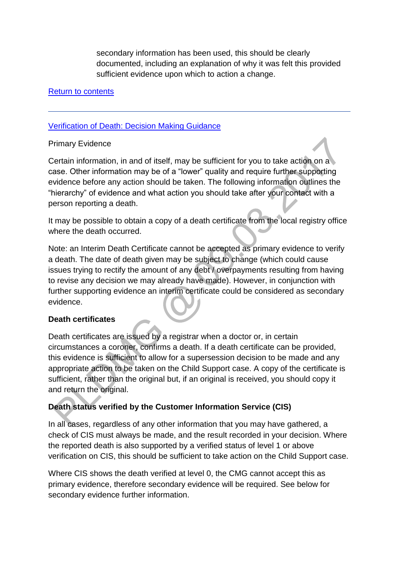secondary information has been used, this should be clearly documented, including an explanation of why it was felt this provided sufficient evidence upon which to action a change.

### [Return to contents](http://np-cmg-sharepoint.link2.gpn.gov.uk/sites/policy-law-and-decision-making-guidance/Pages/Verification-of-Death.aspx#Contents)

### [Verification of Death: Decision Making Guidance](http://np-cmg-sharepoint.link2.gpn.gov.uk/sites/policy-law-and-decision-making-guidance/Pages)

#### Primary Evidence

Certain information, in and of itself, may be sufficient for you to take action on a case. Other information may be of a "lower" quality and require further supporting evidence before any action should be taken. The following information outlines the "hierarchy" of evidence and what action you should take after your contact with a person reporting a death.

It may be possible to obtain a copy of a death certificate from the local registry office where the death occurred.

Note: an Interim Death Certificate cannot be accepted as primary evidence to verify a death. The date of death given may be subject to change (which could cause issues trying to rectify the amount of any debt / overpayments resulting from having to revise any decision we may already have made). However, in conjunction with further supporting evidence an interim certificate could be considered as secondary evidence.

## **Death certificates**

Death certificates are issued by a registrar when a doctor or, in certain circumstances a coroner, confirms a death. If a death certificate can be provided, this evidence is sufficient to allow for a supersession decision to be made and any appropriate action to be taken on the Child Support case. A copy of the certificate is sufficient, rather than the original but, if an original is received, you should copy it and return the original.

## **Death status verified by the Customer Information Service (CIS)**

In all cases, regardless of any other information that you may have gathered, a check of CIS must always be made, and the result recorded in your decision. Where the reported death is also supported by a verified status of level 1 or above verification on CIS, this should be sufficient to take action on the Child Support case.

Where CIS shows the death verified at level 0, the CMG cannot accept this as primary evidence, therefore secondary evidence will be required. See below for secondary evidence further information.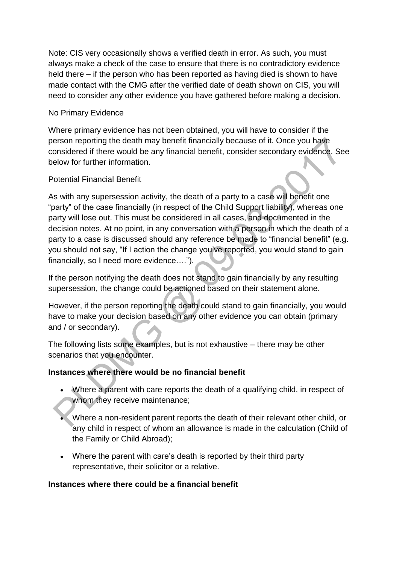Note: CIS very occasionally shows a verified death in error. As such, you must always make a check of the case to ensure that there is no contradictory evidence held there – if the person who has been reported as having died is shown to have made contact with the CMG after the verified date of death shown on CIS, you will need to consider any other evidence you have gathered before making a decision.

## No Primary Evidence

Where primary evidence has not been obtained, you will have to consider if the person reporting the death may benefit financially because of it. Once you have considered if there would be any financial benefit, consider secondary evidence. See below for further information.

## Potential Financial Benefit

As with any supersession activity, the death of a party to a case will benefit one "party" of the case financially (in respect of the Child Support liability), whereas one party will lose out. This must be considered in all cases, and documented in the decision notes. At no point, in any conversation with a person in which the death of a party to a case is discussed should any reference be made to "financial benefit" (e.g. you should not say, "If I action the change you've reported, you would stand to gain financially, so I need more evidence….").

If the person notifying the death does not stand to gain financially by any resulting supersession, the change could be actioned based on their statement alone.

However, if the person reporting the death could stand to gain financially, you would have to make your decision based on any other evidence you can obtain (primary and / or secondary).

The following lists some examples, but is not exhaustive – there may be other scenarios that you encounter.

# **Instances where there would be no financial benefit**

- Where a parent with care reports the death of a qualifying child, in respect of whom they receive maintenance;
- Where a non-resident parent reports the death of their relevant other child, or any child in respect of whom an allowance is made in the calculation (Child of the Family or Child Abroad);
- Where the parent with care's death is reported by their third party representative, their solicitor or a relative.

## **Instances where there could be a financial benefit**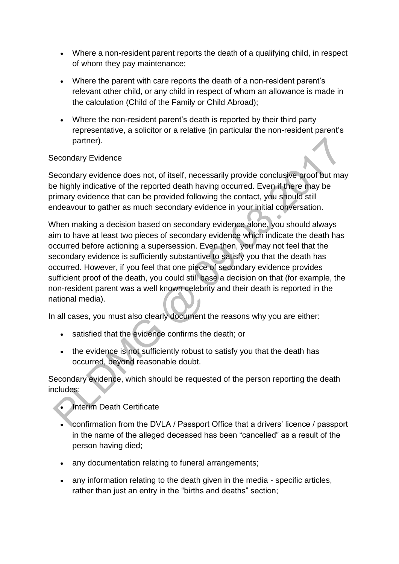- Where a non-resident parent reports the death of a qualifying child, in respect of whom they pay maintenance;
- Where the parent with care reports the death of a non-resident parent's relevant other child, or any child in respect of whom an allowance is made in the calculation (Child of the Family or Child Abroad);
- Where the non-resident parent's death is reported by their third party representative, a solicitor or a relative (in particular the non-resident parent's partner).

## Secondary Evidence

Secondary evidence does not, of itself, necessarily provide conclusive proof but may be highly indicative of the reported death having occurred. Even if there may be primary evidence that can be provided following the contact, you should still endeavour to gather as much secondary evidence in your initial conversation.

When making a decision based on secondary evidence alone, you should always aim to have at least two pieces of secondary evidence which indicate the death has occurred before actioning a supersession. Even then, you may not feel that the secondary evidence is sufficiently substantive to satisfy you that the death has occurred. However, if you feel that one piece of secondary evidence provides sufficient proof of the death, you could still base a decision on that (for example, the non-resident parent was a well known celebrity and their death is reported in the national media).

In all cases, you must also clearly document the reasons why you are either:

- satisfied that the evidence confirms the death; or
- the evidence is not sufficiently robust to satisfy you that the death has occurred, beyond reasonable doubt.

Secondary evidence, which should be requested of the person reporting the death includes:

- Interim Death Certificate
- confirmation from the DVLA / Passport Office that a drivers' licence / passport in the name of the alleged deceased has been "cancelled" as a result of the person having died;
- any documentation relating to funeral arrangements;
- any information relating to the death given in the media specific articles, rather than just an entry in the "births and deaths" section;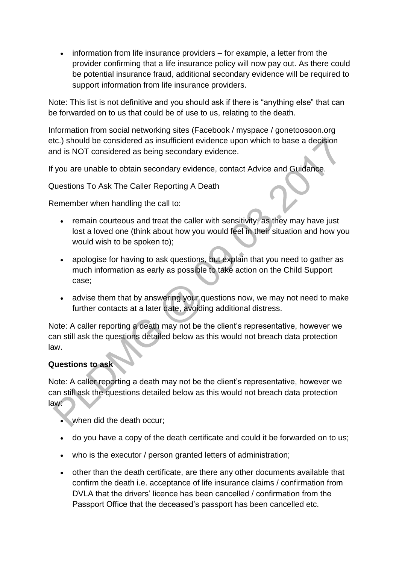$\bullet$  information from life insurance providers  $-$  for example, a letter from the provider confirming that a life insurance policy will now pay out. As there could be potential insurance fraud, additional secondary evidence will be required to support information from life insurance providers.

Note: This list is not definitive and you should ask if there is "anything else" that can be forwarded on to us that could be of use to us, relating to the death.

Information from social networking sites (Facebook / myspace / gonetoosoon.org etc.) should be considered as insufficient evidence upon which to base a decision and is NOT considered as being secondary evidence.

If you are unable to obtain secondary evidence, contact Advice and Guidance.

Questions To Ask The Caller Reporting A Death

Remember when handling the call to:

- remain courteous and treat the caller with sensitivity, as they may have just lost a loved one (think about how you would feel in their situation and how you would wish to be spoken to);
- apologise for having to ask questions, but explain that you need to gather as much information as early as possible to take action on the Child Support case;
- advise them that by answering your questions now, we may not need to make further contacts at a later date, avoiding additional distress.

Note: A caller reporting a death may not be the client's representative, however we can still ask the questions detailed below as this would not breach data protection law.

## **Questions to ask**

Note: A caller reporting a death may not be the client's representative, however we can still ask the questions detailed below as this would not breach data protection law:

- when did the death occur;
- do you have a copy of the death certificate and could it be forwarded on to us;
- who is the executor / person granted letters of administration;
- other than the death certificate, are there any other documents available that confirm the death i.e. acceptance of life insurance claims / confirmation from DVLA that the drivers' licence has been cancelled / confirmation from the Passport Office that the deceased's passport has been cancelled etc.